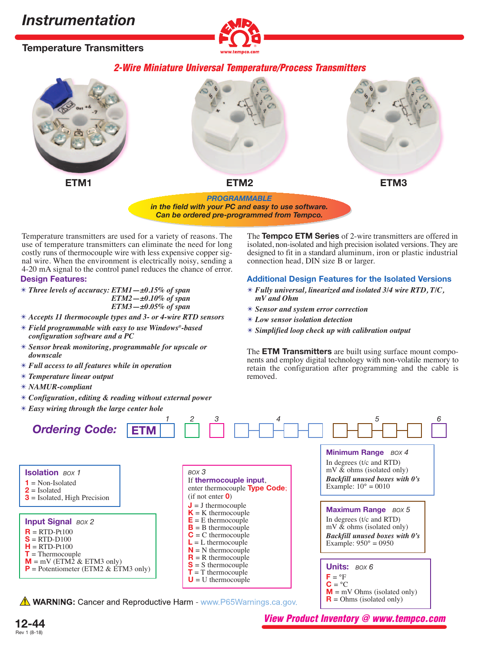**Temperature Transmitters**



# **2-Wire Miniature Universal Temperature/Process Transmitters**



*in the field with your PC and easy to use software. Can be ordered pre-programmed from Tempco.*

Temperature transmitters are used for a variety of reasons. The use of temperature transmitters can eliminate the need for long costly runs of thermocouple wire with less expensive copper signal wire. When the environment is electrically noisy, sending a 4-20 mA signal to the control panel reduces the chance of error.

## **Design Features:**

- ✴ *Three levels of accuracy: ETM1—±0.15% of span ETM2—±0.10% of span ETM3—±0.05% of span*
- ✴ *Accepts 11 thermocouple types and 3- or 4-wire RTD sensors*
- ✴ *Field programmable with easy to use Windows®-based configuration software and a PC*
- ✴ *Sensor break monitoring, programmable for upscale or downscale*
- ✴ *Full access to all features while in operation*
- ✴ *Temperature linear output*
- ✴ *NAMUR-compliant*
- ✴ *Configuration, editing & reading without external power*
- ✴ *Easy wiring through the large center hole*

The **Tempco ETM Series** of 2-wire transmitters are offered in isolated, non-isolated and high precision isolated versions. They are designed to fit in a standard aluminum, iron or plastic industrial connection head, DIN size B or larger.

# **Additional Design Features for the Isolated Versions**

- ✴ *Fully universal, linearized and isolated 3/4 wire RTD, T/C, mV and Ohm*
- ✴ *Sensor and system error correction*
- ✴ *Low sensor isolation detection*
- ✴ *Simplified loop check up with calibration output*

The **ETM Transmitters** are built using surface mount components and employ digital technology with non-volatile memory to retain the configuration after programming and the cable is removed.



**12-44** Rev 1 (8-18)

**View Product Inventory @ www.tempco.com**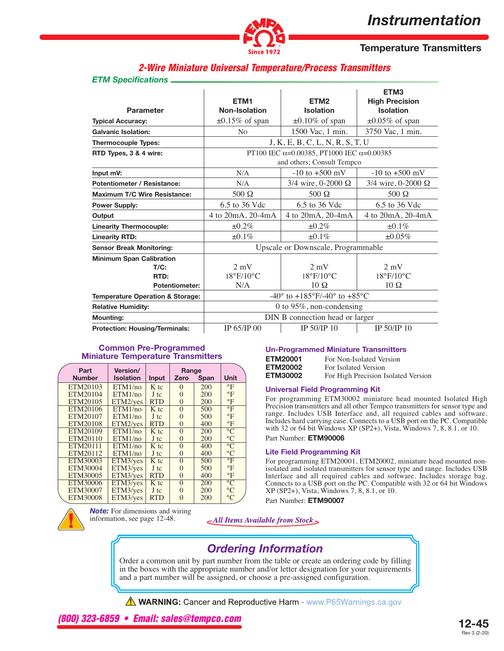

# **Temperature Transmitters**

# **2-Wire Miniature Universal Temperature/Process Transmitters**

### *ETM Specifications*

| <b>Parameter</b>                            | ETM <sub>1</sub><br>Non-Isolation                | ETM <sub>2</sub><br><b>Isolation</b>                                                    |                                |  |  |
|---------------------------------------------|--------------------------------------------------|-----------------------------------------------------------------------------------------|--------------------------------|--|--|
| <b>Typical Accuracy:</b>                    | $\pm 0.15\%$ of span                             | $\pm 0.10\%$ of span                                                                    | $\pm 0.05\%$ of span           |  |  |
| <b>Galvanic Isolation:</b>                  | N <sub>0</sub>                                   | 1500 Vac, 1 min.                                                                        | 3750 Vac, 1 min.               |  |  |
| <b>Thermocouple Types:</b>                  |                                                  | J, K, E, B, C, L, N, R, S, T, U                                                         |                                |  |  |
| RTD Types, 3 & 4 wire:                      |                                                  | PT100 IEC $\alpha$ =0.00385, PT1000 IEC $\alpha$ =0.00385<br>and others; Consult Tempco |                                |  |  |
| Input mV:                                   | N/A                                              | $-10$ to $+500$ mV<br>$-10$ to $+500$ mV                                                |                                |  |  |
| <b>Potentiometer / Resistance:</b>          | N/A                                              | $3/4$ wire, 0-2000 $\Omega$                                                             | $3/4$ wire, 0-2000 $\Omega$    |  |  |
| <b>Maximum T/C Wire Resistance:</b>         | $500 \Omega$                                     | $500 \Omega$                                                                            | $500 \Omega$                   |  |  |
| <b>Power Supply:</b>                        | 6.5 to 36 Vdc                                    | 6.5 to 36 Vdc                                                                           | 6.5 to 36 Vdc                  |  |  |
| Output                                      | 4 to 20mA, 20-4mA                                | 4 to 20mA, 20-4mA                                                                       | 4 to 20mA, 20-4mA              |  |  |
| <b>Linearity Thermocouple:</b>              | $\pm 0.2\%$                                      | $\pm 0.2\%$                                                                             | $\pm 0.1\%$                    |  |  |
| <b>Linearity RTD:</b>                       | $±0.1\%$                                         | $\pm 0.1\%$<br>±0.05%                                                                   |                                |  |  |
| <b>Sensor Break Monitoring:</b>             |                                                  | Upscale or Downscale, Programmable                                                      |                                |  |  |
| <b>Minimum Span Calibration</b>             |                                                  |                                                                                         |                                |  |  |
| $T/C$ :                                     | $2 \text{ mV}$                                   | $2 \text{ mV}$                                                                          | $2 \text{ mV}$                 |  |  |
| RTD:                                        | $18^{\circ}$ F/10 $^{\circ}$ C                   | $18^{\circ}$ F/10 $^{\circ}$ C                                                          | $18^{\circ}$ F/10 $^{\circ}$ C |  |  |
| <b>Potentiometer:</b>                       | N/A                                              | $10 \Omega$                                                                             | $10\Omega$                     |  |  |
| <b>Temperature Operation &amp; Storage:</b> |                                                  | -40 $\degree$ to +185 $\degree$ F/-40 $\degree$ to +85 $\degree$ C                      |                                |  |  |
| <b>Relative Humidity:</b>                   |                                                  | 0 to 95%, non-condensing                                                                |                                |  |  |
| <b>Mounting:</b>                            |                                                  | DIN B connection head or larger                                                         |                                |  |  |
| <b>Protection: Housing/Terminals:</b>       | IP 65/IP 00<br>IP 50/IP 10<br><b>IP 50/IP 10</b> |                                                                                         |                                |  |  |

## **Common Pre-Programmed Miniature Temperature Transmitters**

| Part            | Version/         |            | Range    |      |                         |
|-----------------|------------------|------------|----------|------|-------------------------|
| <b>Number</b>   | <b>Isolation</b> | Input      | Zero     | Span | Unit                    |
| ETM20103        | ETM1/no          | K tc       | $\Omega$ | 200  | $\circ$ F               |
| ETM20104        | ETM1/no          | $J$ tc     | $\Omega$ | 200  | $\mathrm{P}$            |
| ETM20105        | ETM2/ves         | <b>RTD</b> | $\Omega$ | 200  | $\circ$ F               |
| ETM20106        | ETM1/no          | K tc       | $\Omega$ | 500  | $\overline{\mathrm{P}}$ |
| ETM20107        | ETM1/no          | J tc       | $\Omega$ | 500  | $\mathrm{P}$            |
| ETM20108        | ETM2/ves         | <b>RTD</b> | $\Omega$ | 400  | $\mathrm{P}$            |
| ETM20109        | ETM1/no          | K tc       | $\Omega$ | 200  | $\overline{C}$          |
| <b>ETM20110</b> | ETM1/no          | J tc       | $\Omega$ | 200  | $\rm ^{\circ}C$         |
| ETM20111        | ETM1/no          | K tc       | $\Omega$ | 400  | $\rm ^{\circ}C$         |
| ETM20112        | ETM1/no          | J tc       | $\Omega$ | 400  | $\rm ^{\circ}C$         |
| ETM30003        | ETM3/yes         | $K$ tc     | $\Omega$ | 500  | $\mathrm{P}$            |
| ETM30004        | ETM3/yes         | J tc       | $\Omega$ | 500  | $\mathrm{P}$            |
| ETM30005        | ETM3/yes         | <b>RTD</b> | $\Omega$ | 400  | $\mathrm{P}$            |
| <b>ETM30006</b> | ETM3/yes         | K tc       | $\Omega$ | 200  | $\rm ^{\circ}C$         |
| ETM30007        | ETM3/yes         | J tc       | $\Omega$ | 200  | $\rm ^{\circ}C$         |
| <b>ETM30008</b> | ETM3/yes         | <b>RTD</b> | 0        | 200  | $\rm ^{\circ}C$         |

**Note:** For dimensions and wiring information, see page 12-48.

### **Un-Programmed Miniature Transmitters**

| <b>ETM20001</b> | For Non-Isolated Version            |
|-----------------|-------------------------------------|
| <b>ETM20002</b> | For Isolated Version                |
| <b>ETM30002</b> | For High Precision Isolated Version |

### **Universal Field Programming Kit**

For programming ETM30002 miniature head mounted Isolated High Precision transmitters and all other Tempco transmitters for sensor type and range. Includes USB Interface and, all required cables and software. Includes hard carrying case. Connects to a USB port on the PC. Compatible with 32 or 64 bit Windows XP (SP2+), Vista, Windows 7, 8, 8.1, or 10.

Part Number: **ETM90006**

### **Lite Field Programming Kit**

For programming ETM20001, ETM20002, miniature head mounted nonisolated and isolated transmitters for sensor type and range. Includes USB Interface and all required cables and software. Includes storage bag. Connects to a USB port on the PC. Compatible with 32 or 64 bit Windows XP (SP2+), Vista, Windows 7, 8, 8.1, or 10.

Part Number: **ETM90007**



# *Ordering Information*

Order a common unit by part number from the table or create an ordering code by filling in the boxes with the appropriate number and/or letter designation for your requirements and a part number will be assigned, or choose a pre-assigned configuration.

**A WARNING:** Cancer and Reproductive Harm - www.P65Warnings.ca.gov.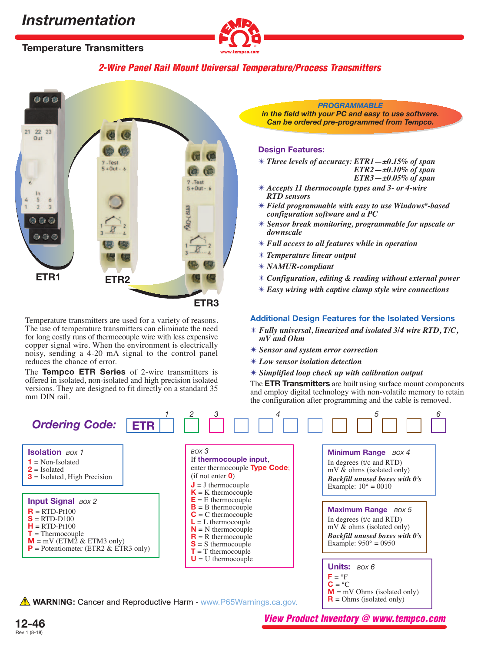



# **2-Wire Panel Rail Mount Universal Temperature/Process Transmitters**



Temperature transmitters are used for a variety of reasons. The use of temperature transmitters can eliminate the need for long costly runs of thermocouple wire with less expensive copper signal wire. When the environment is electrically noisy, sending a 4-20 mA signal to the control panel reduces the chance of error.

The **Tempco ETR Series** of 2-wire transmitters is offered in isolated, non-isolated and high precision isolated versions. They are designed to fit directly on a standard 35 mm DIN rail.

**12-46**

Rev 1 (8-18)

### *PROGRAMMABLE*

*in the field with your PC and easy to use software. Can be ordered pre-programmed from Tempco.*

## **Design Features:**

✴ *Three levels of accuracy: ETR1—±0.15% of span ETR2—±0.10% of span* 

*ETR3—±0.05% of span*

- ✴ *Accepts 11 thermocouple types and 3- or 4-wire RTD sensors*
- ✴ *Field programmable with easy to use Windows®-based configuration software and a PC*
- ✴ *Sensor break monitoring, programmable for upscale or downscale*
- ✴ *Full access to all features while in operation*
- ✴ *Temperature linear output*
- ✴ *NAMUR-compliant*
- ✴ *Configuration, editing & reading without external power*
- ✴ *Easy wiring with captive clamp style wire connections*

### **Additional Design Features for the Isolated Versions**

- ✴ *Fully universal, linearized and isolated 3/4 wire RTD, T/C, mV and Ohm*
- ✴ *Sensor and system error correction*
- ✴ *Low sensor isolation detection*
- ✴ *Simplified loop check up with calibration output*

The **ETR Transmitters** are built using surface mount components and employ digital technology with non-volatile memory to retain the configuration after programming and the cable is removed.



**View Product Inventory @ www.tempco.com**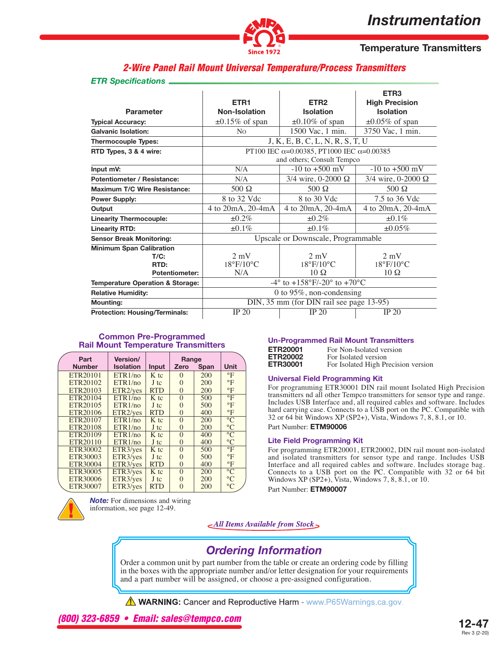

**Temperature Transmitters**

# **2-Wire Panel Rail Mount Universal Temperature/Process Transmitters**

#### *ETR Specifications*

|                                             |                                                                    | ETR <sub>3</sub>               |                           |  |
|---------------------------------------------|--------------------------------------------------------------------|--------------------------------|---------------------------|--|
|                                             | ETR <sub>1</sub>                                                   | ETR <sub>2</sub>               | <b>High Precision</b>     |  |
| <b>Parameter</b>                            | Non-Isolation                                                      | <b>Isolation</b>               | <b>Isolation</b>          |  |
| <b>Typical Accuracy:</b>                    | $\pm 0.15\%$ of span                                               | $\pm 0.10\%$ of span           | $\pm 0.05\%$ of span      |  |
| <b>Galvanic Isolation:</b>                  | N <sub>0</sub>                                                     | 1500 Vac, 1 min.               | 3750 Vac, 1 min.          |  |
| <b>Thermocouple Types:</b>                  | J, K, E, B, C, L, N, R, S, T, U                                    |                                |                           |  |
| RTD Types, 3 & 4 wire:                      | PT100 IEC $\alpha$ =0.00385, PT1000 IEC $\alpha$ =0.00385          |                                |                           |  |
|                                             | and others; Consult Tempco                                         |                                |                           |  |
| Input mV:                                   | N/A                                                                | $-10$ to $+500$ mV             | $-10$ to $+500$ mV        |  |
| <b>Potentiometer / Resistance:</b>          | N/A                                                                | 3/4 wire, 0-2000 Ω             | 3/4 wire, 0-2000 $\Omega$ |  |
| <b>Maximum T/C Wire Resistance:</b>         | $500 \Omega$                                                       | $500 \Omega$                   | $500 \Omega$              |  |
| <b>Power Supply:</b>                        | 8 to 32 Vdc                                                        | 8 to 30 Vdc                    | 7.5 to 36 Vdc             |  |
| Output                                      | 4 to 20mA, 20-4mA                                                  | 4 to 20mA, 20-4mA              | 4 to 20mA, 20-4mA         |  |
| <b>Linearity Thermocouple:</b>              | $\pm 0.2\%$                                                        | $\pm 0.2\%$                    | $\pm 0.1\%$               |  |
| <b>Linearity RTD:</b>                       | $\pm 0.1\%$                                                        | $\pm 0.1\%$                    | $\pm 0.05\%$              |  |
| <b>Sensor Break Monitoring:</b>             | Upscale or Downscale, Programmable                                 |                                |                           |  |
| <b>Minimum Span Calibration</b>             |                                                                    |                                |                           |  |
| $T/C$ :                                     | $2 \text{ mV}$                                                     | $2 \text{ mV}$                 | $2 \text{ mV}$            |  |
| RTD:                                        | $18^{\circ}$ F/10 $^{\circ}$ C                                     | $18^{\circ}$ F/10 $^{\circ}$ C | 18°F/10°C                 |  |
| <b>Potentiometer:</b>                       | N/A                                                                | $10 \Omega$                    | $10 \Omega$               |  |
| <b>Temperature Operation &amp; Storage:</b> | $-4^{\circ}$ to $+158^{\circ}$ F/-20 $^{\circ}$ to $+70^{\circ}$ C |                                |                           |  |
| <b>Relative Humidity:</b>                   | 0 to 95%, non-condensing                                           |                                |                           |  |
| <b>Mounting:</b>                            | DIN, 35 mm (for DIN rail see page 13-95)                           |                                |                           |  |
| <b>Protection: Housing/Terminals:</b>       | IP 20                                                              | IP 20                          | IP 20                     |  |

#### **Common Pre-Programmed Rail Mount Temperature Transmitters**

| Part                 | <b>Version/</b>      |            | Range    |      |                         |
|----------------------|----------------------|------------|----------|------|-------------------------|
| <b>Number</b>        | <b>Isolation</b>     | Input      | Zero     | Span | Unit                    |
| ETR20101             | ETR1/no              | K tc       | $\Omega$ | 200  | $\circ$ F               |
| ETR20102             | ETR1/no              | $J$ tc     | $\Omega$ | 200  | $\mathrm{P}$            |
| ETR20103             | ETR <sub>2/ves</sub> | <b>RTD</b> | $\Omega$ | 200  | $\circ$ F               |
| ETR20104             | ETR1/no              | K tc       | $\Omega$ | 500  | $\overline{\mathrm{P}}$ |
| ETR20105             | ETR1/no              | J tc       | $\Omega$ | 500  | $\circ$ F               |
| ETR20106             | ETR <sub>2/ves</sub> | <b>RTD</b> | $\Omega$ | 400  | $\mathrm{P}$            |
| ETR <sub>20107</sub> | ETR1/no              | K tc       | $\Omega$ | 200  | $\overline{C}$          |
| ETR20108             | ETR1/no              | J tc       | $\Omega$ | 200  | $\rm ^{\circ}C$         |
| ETR20109             | ETR1/no              | K tc       | $\Omega$ | 400  | $\overline{C}$          |
| ETR20110             | ETR1/no              | J tc       | $\Omega$ | 400  | $\rm ^{\circ}C$         |
| ETR30002             | ETR3/yes             | K tc       | $\Omega$ | 500  | $\overline{\mathrm{}}$  |
| ETR30003             | ETR3/yes             | J tc       | $\Omega$ | 500  | $\mathrm{P}$            |
| ETR30004             | ETR3/ves             | <b>RTD</b> | $\Omega$ | 400  | $\mathrm{P}$            |
| ETR30005             | ETR3/yes             | K tc       | $\Omega$ | 200  | $\rm ^{\circ}C$         |
| ETR30006             | ETR3/yes             | J tc       | 0        | 200  | $\rm ^{\circ}C$         |
| ETR30007             | ETR3/yes             | <b>RTD</b> | 0        | 200  | $\rm ^{\circ}C$         |

*Note:* For dimensions and wiring information, see page 12-49.

### **Un-Programmed Rail Mount Transmitters**

| ETR20001        | For Non-Isolated version            |
|-----------------|-------------------------------------|
| <b>ETR20002</b> | For Isolated version                |
| <b>ETR30001</b> | For Isolated High Precision version |

### **Universal Field Programming Kit**

For programming ETR30001 DIN rail mount Isolated High Precision transmitters nd all other Tempco transmitters for sensor type and range. Includes USB Interface and, all required cables and software. Includes hard carrying case. Connects to a USB port on the PC. Compatible with 32 or 64 bit Windows XP (SP2+), Vista, Windows 7, 8, 8.1, or 10.

Part Number: **ETM90006**

### **Lite Field Programming Kit**

For programming ETR20001, ETR20002, DIN rail mount non-isolated and isolated transmitters for sensor type and range. Includes USB Interface and all required cables and software. Includes storage bag. Connects to a USB port on the PC. Compatible with 32 or 64 bit Windows  $XP(SP2+)$ , Vista, Windows 7, 8, 8.1, or 10.

Part Number: **ETM90007**



# *Ordering Information*

Order a common unit by part number from the table or create an ordering code by filling in the boxes with the appropriate number and/or letter designation for your requirements and a part number will be assigned, or choose a pre-assigned configuration.

**A WARNING:** Cancer and Reproductive Harm - www.P65Warnings.ca.gov.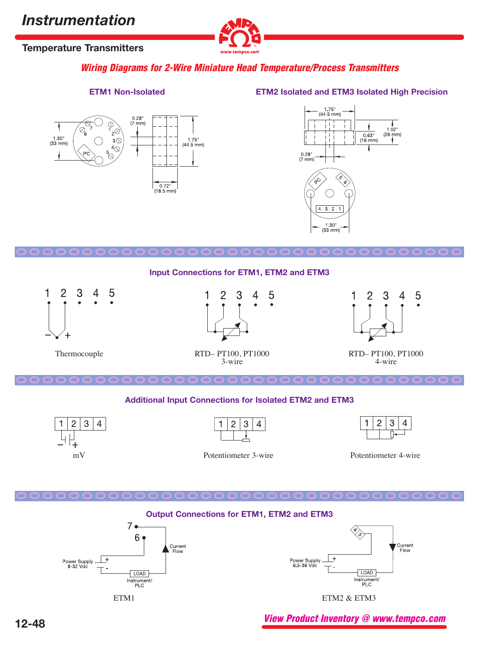

# **Temperature Transmitters**

**Wiring Diagrams for 2-Wire Miniature Head Temperature/Process Transmitters**



# **ETM1 Non-Isolated ETM2 Isolated and ETM3 Isolated High Precision**



#### **OOOOOOOOOOOOOOOOOOOOOOOOOOOOOOOOOO**

## **Input Connections for ETM1, ETM2 and ETM3**



Thermocouple



RTD– PT100, PT1000 3-wire



RTD– PT100, PT1000 4-wire

**OO**

**OOOOOOOOOOOOOOOOOOOOOOOOOOOOO**

## **Additional Input Connections for Isolated ETM2 and ETM3**





Potentiometer 3-wire mV Potentiometer 4-wire





**View Product Inventory @ www.tempco.com**

**OOO**